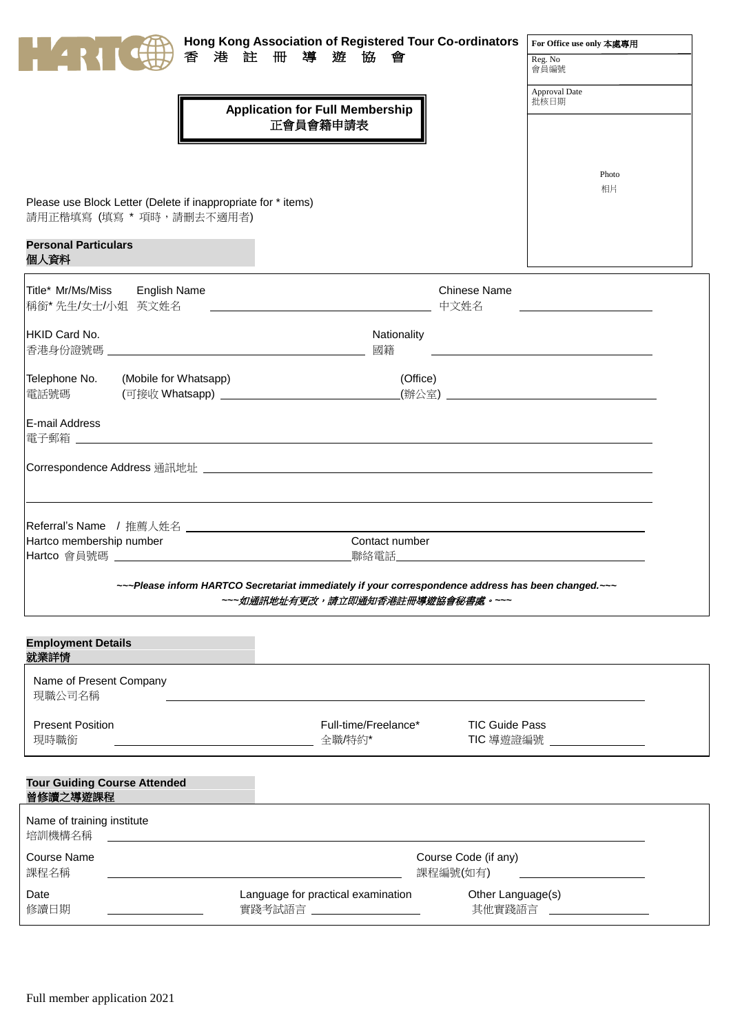|                                                                                                                           | Hong Kong Association of Registered Tour Co-ordinators                                                                                  |                                    | For Office use only 本處專用                |
|---------------------------------------------------------------------------------------------------------------------------|-----------------------------------------------------------------------------------------------------------------------------------------|------------------------------------|-----------------------------------------|
| 香<br>港註                                                                                                                   | 冊導遊<br>協<br>會                                                                                                                           |                                    | Reg. No<br>會員編號                         |
|                                                                                                                           | <b>Application for Full Membership</b><br>正會員會籍申請表                                                                                      |                                    | Approval Date<br>批核日期                   |
| Please use Block Letter (Delete if inappropriate for * items)<br>請用正楷填寫 (填寫 * 項時,請刪去不適用者)<br><b>Personal Particulars</b>  |                                                                                                                                         |                                    | Photo<br>相片                             |
| 個人資料                                                                                                                      |                                                                                                                                         |                                    |                                         |
| Title* Mr/Ms/Miss<br><b>English Name</b><br>稱銜*先生/女士/小姐 英文姓名                                                              |                                                                                                                                         | <b>Chinese Name</b><br>中文姓名        |                                         |
| HKID Card No.                                                                                                             | Nationality<br>國籍                                                                                                                       |                                    | <u> 1990 - Johann Barbara, martin a</u> |
| Telephone No.<br>(Mobile for Whatsapp)<br>.<br>(可接收 Whatsapp) _________________________________<br>電話號碼<br>E-mail Address | (Office)                                                                                                                                |                                    |                                         |
| 電子郵箱                                                                                                                      |                                                                                                                                         |                                    |                                         |
|                                                                                                                           |                                                                                                                                         |                                    |                                         |
|                                                                                                                           |                                                                                                                                         |                                    |                                         |
| Hartco membership number<br>Hartco 會員號碼 コンファイル しんしょうせい しんしょうかい                                                            | Contact number                                                                                                                          |                                    |                                         |
|                                                                                                                           | ~~~Please inform HARTCO Secretariat immediately if your correspondence address has been changed.~~~<br>~~~如通訊地址有更改,請立即通知香港註冊導遊協會秘書處。~~~ |                                    |                                         |
| <b>Employment Details</b><br>就業詳情                                                                                         |                                                                                                                                         |                                    |                                         |
| Name of Present Company<br>現職公司名稱                                                                                         |                                                                                                                                         |                                    |                                         |
| <b>Present Position</b><br>現時職銜                                                                                           | Full-time/Freelance*<br>全職/特約*                                                                                                          | <b>TIC Guide Pass</b><br>TIC 導遊證編號 |                                         |

| 曾修讀之導遊課程                             | <b>Tour Guiding Course Attended</b> |                                                          |          |                             |  |
|--------------------------------------|-------------------------------------|----------------------------------------------------------|----------|-----------------------------|--|
| Name of training institute<br>培訓機構名稱 |                                     |                                                          |          |                             |  |
| Course Name<br>課程名稱                  |                                     |                                                          | 課程編號(如有) | Course Code (if any)        |  |
| Date<br>修讀日期                         |                                     | Language for practical examination<br>實踐考試語言 しんしょう しんしょう |          | Other Language(s)<br>其他實踐語言 |  |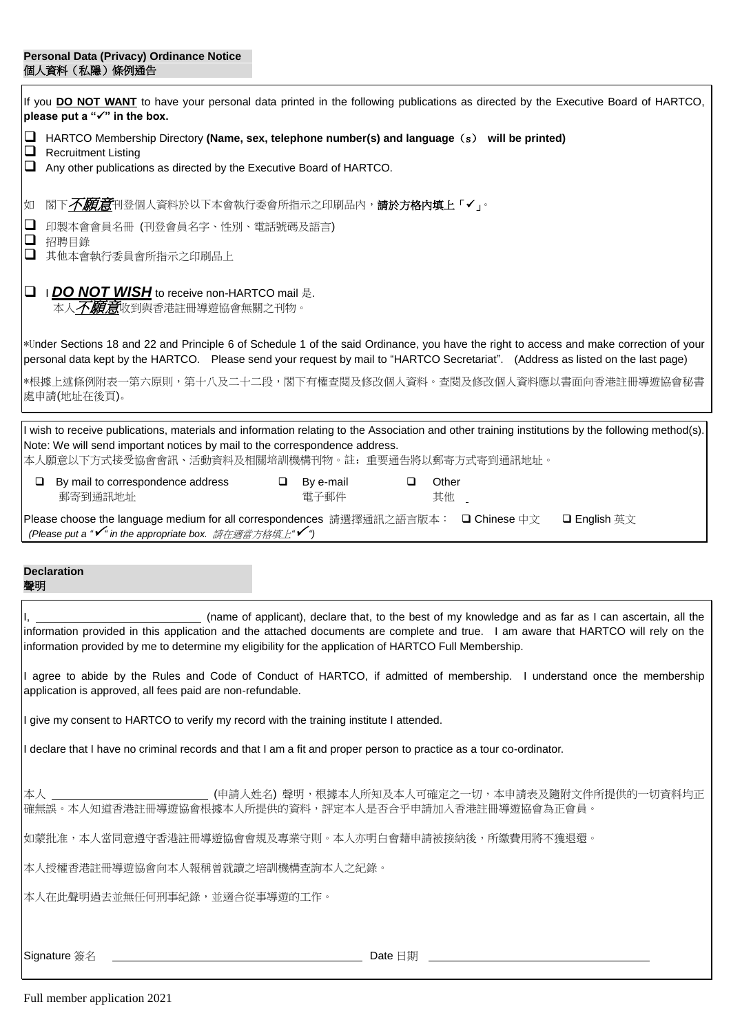## **Personal Data (Privacy) Ordinance Notice** 個人資料(私隱)條例通告

| If you DO NOT WANT to have your personal data printed in the following publications as directed by the Executive Board of HARTCO,<br>please put a "√" in the box.                                                                                                                                                                                    |  |  |  |  |
|------------------------------------------------------------------------------------------------------------------------------------------------------------------------------------------------------------------------------------------------------------------------------------------------------------------------------------------------------|--|--|--|--|
| $\Box$<br>HARTCO Membership Directory (Name, sex, telephone number(s) and language (s) will be printed)<br>$\Box$<br><b>Recruitment Listing</b><br>Any other publications as directed by the Executive Board of HARTCO.<br>⊔                                                                                                                         |  |  |  |  |
| 閣下 <i>不願意</i> 刊登個人資料於以下本會執行委會所指示之印刷品內, <b>請於方格內填上「✔」</b> 。<br>如                                                                                                                                                                                                                                                                                      |  |  |  |  |
| $\Box$<br>印製本會會員名冊 (刊登會員名字、性別、電話號碼及語言)<br>$\Box$<br>招聘目錄                                                                                                                                                                                                                                                                                             |  |  |  |  |
| $\Box$<br>其他本會執行委員會所指示之印刷品上                                                                                                                                                                                                                                                                                                                          |  |  |  |  |
| <b>I DO NOT WISH</b> to receive non-HARTCO mail 是.<br>$\Box$<br>本人 <i>不願意</i> 收到與香港註冊導遊協會無關之刊物。                                                                                                                                                                                                                                                      |  |  |  |  |
| *Under Sections 18 and 22 and Principle 6 of Schedule 1 of the said Ordinance, you have the right to access and make correction of your<br>personal data kept by the HARTCO. Please send your request by mail to "HARTCO Secretariat". (Address as listed on the last page)                                                                          |  |  |  |  |
| *根據上述條例附表一第六原則,第十八及二十二段,閣下有權查閱及修改個人資料。查閱及修改個人資料應以書面向香港註冊導遊協會秘書<br>處申請(地址在後頁)。                                                                                                                                                                                                                                                                        |  |  |  |  |
| I wish to receive publications, materials and information relating to the Association and other training institutions by the following method(s).<br>Note: We will send important notices by mail to the correspondence address.<br>本人願意以下方式接受協會會訊、活動資料及相關培訓機構刊物。註: 重要通告將以郵寄方式寄到通訊地址。                                                                |  |  |  |  |
| $\Box$ By e-mail<br>Other<br>$\Box$ By mail to correspondence address<br>$\Box$<br>其他 _<br>郵寄到通訊地址<br>電子郵件                                                                                                                                                                                                                                           |  |  |  |  |
| Please choose the language medium for all correspondences 請選擇通訊之語言版本: □ Chinese 中文<br><b>□ English</b> 英文<br>(Please put a "✔" in the appropriate box. 請在適當方格填上"✔")                                                                                                                                                                                  |  |  |  |  |
| <b>Declaration</b><br>聲明                                                                                                                                                                                                                                                                                                                             |  |  |  |  |
| (name of applicant), declare that, to the best of my knowledge and as far as I can ascertain, all the<br>information provided in this application and the attached documents are complete and true. I am aware that HARTCO will rely on the<br>information provided by me to determine my eligibility for the application of HARTCO Full Membership. |  |  |  |  |
| I agree to abide by the Rules and Code of Conduct of HARTCO, if admitted of membership. I understand once the membership<br>application is approved, all fees paid are non-refundable.                                                                                                                                                               |  |  |  |  |
| I give my consent to HARTCO to verify my record with the training institute I attended.                                                                                                                                                                                                                                                              |  |  |  |  |
| I declare that I have no criminal records and that I am a fit and proper person to practice as a tour co-ordinator.                                                                                                                                                                                                                                  |  |  |  |  |
| 本人 _____________________________(申請人姓名) 聲明,根據本人所知及本人可確定之一切,本申請表及隨附文件所提供的一切資料均正<br>確無誤。本人知道香港註冊導遊協會根據本人所提供的資料,評定本人是否合乎申請加入香港註冊導遊協會為正會員。                                                                                                                                                                                                               |  |  |  |  |
| 如蒙批准,本人當同意遵守香港註冊導遊協會會規及專業守則。本人亦明白會藉申請被接納後,所繳費用將不獲退還。                                                                                                                                                                                                                                                                                                 |  |  |  |  |
| 本人授權香港註冊導遊協會向本人報稱曾就讀之培訓機構查詢本人之紀錄。                                                                                                                                                                                                                                                                                                                    |  |  |  |  |
| 本人在此聲明過去並無任何刑事紀錄,並適合從事導遊的工作。                                                                                                                                                                                                                                                                                                                         |  |  |  |  |
| Signature 簽名<br><u> 2008 - Alexander Alexander Alexander Alexander Alexander Alexander Alexander Alexander Alexander Alexander</u><br>Date 日期 2008年 2月20日 10:00 10:00 10:00 10:00 10:00 10:00 10:00 10:00 10:00 10:00 10:00 10:00 10:00 10:00 10:00                                                                                                  |  |  |  |  |